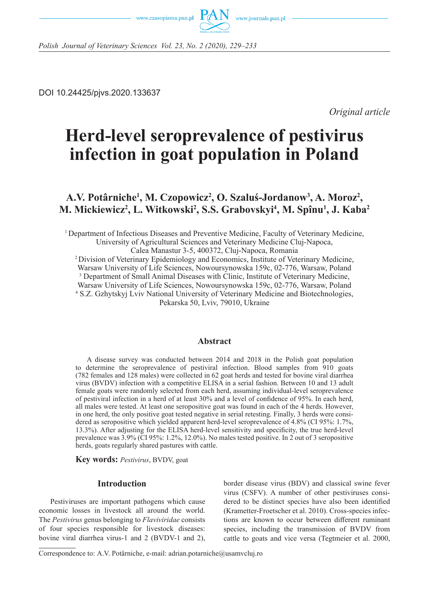



*Polish Journal of Veterinary Sciences Vol. 23, No. 2 (2020), 229–233*

DOI 10.24425/pjvs.2020.133637

*Original article*

# **Herd-level seroprevalence of pestivirus infection in goat population in Poland**

# A.V. Potârniche<sup>1</sup>, M. Czopowicz<sup>2</sup>, O. Szaluś-Jordanow<sup>3</sup>, A. Moroz<sup>2</sup>, **M. Mickiewicz2 , L. Witkowski2 , S.S. Grabovskyi4 , M. Spînu1 , J. Kaba<sup>2</sup>**

1 Department of Infectious Diseases and Preventive Medicine, Faculty of Veterinary Medicine, University of Agricultural Sciences and Veterinary Medicine Cluj-Napoca, Calea Manastur 3-5, 400372, Cluj-Napoca, Romania 2 Division of Veterinary Epidemiology and Economics, Institute of Veterinary Medicine, Warsaw University of Life Sciences, Nowoursynowska 159c, 02-776, Warsaw, Poland <sup>3</sup> Department of Small Animal Diseases with Clinic, Institute of Veterinary Medicine, Warsaw University of Life Sciences, Nowoursynowska 159c, 02-776, Warsaw, Poland 4 S.Z. Gzhytskyj Lviv National University of Veterinary Medicine and Biotechnologies, Pekarska 50, Lviv, 79010, Ukraine

#### **Abstract**

A disease survey was conducted between 2014 and 2018 in the Polish goat population to determine the seroprevalence of pestiviral infection. Blood samples from 910 goats (782 females and 128 males) were collected in 62 goat herds and tested for bovine viral diarrhea virus (BVDV) infection with a competitive ELISA in a serial fashion. Between 10 and 13 adult female goats were randomly selected from each herd, assuming individual-level seroprevalence of pestiviral infection in a herd of at least 30% and a level of confidence of 95%. In each herd, all males were tested. At least one seropositive goat was found in each of the 4 herds. However, in one herd, the only positive goat tested negative in serial retesting. Finally, 3 herds were considered as seropositive which yielded apparent herd-level seroprevalence of 4.8% (CI 95%: 1.7%, 13.3%). After adjusting for the ELISA herd-level sensitivity and specificity, the true herd-level prevalence was 3.9% (CI 95%: 1.2%, 12.0%). No males tested positive. In 2 out of 3 seropositive herds, goats regularly shared pastures with cattle.

**Key words:** *Pestivirus*, BVDV, goat

#### **Introduction**

Pestiviruses are important pathogens which cause economic losses in livestock all around the world. The *Pestivirus* genus belonging to *Flaviviridae* consists of four species responsible for livestock diseases: bovine viral diarrhea virus-1 and 2 (BVDV-1 and 2), border disease virus (BDV) and classical swine fever virus (CSFV). A number of other pestiviruses considered to be distinct species have also been identified (Krametter-Froetscher et al. 2010). Cross-species infections are known to occur between different ruminant species, including the transmission of BVDV from cattle to goats and vice versa (Tegtmeier et al. 2000,

Correspondence to: A.V. Potârniche, e-mail: adrian.potarniche@usamvcluj.ro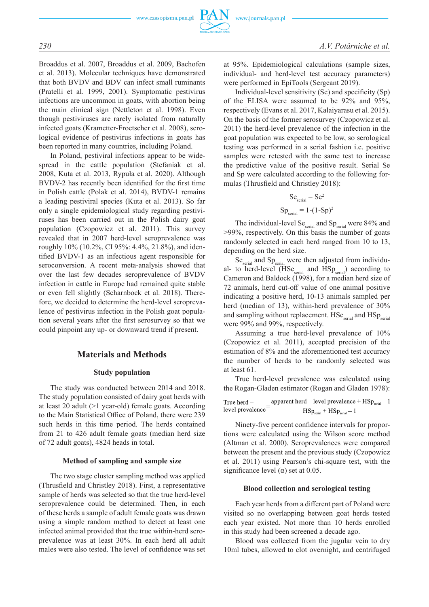

Broaddus et al. 2007, Broaddus et al. 2009, Bachofen et al. 2013). Molecular techniques have demonstrated that both BVDV and BDV can infect small ruminants (Pratelli et al. 1999, 2001). Symptomatic pestivirus infections are uncommon in goats, with abortion being the main clinical sign (Nettleton et al. 1998). Even though pestiviruses are rarely isolated from naturally infected goats (Krametter-Froetscher et al. 2008), serological evidence of pestivirus infections in goats has been reported in many countries, including Poland.

In Poland, pestiviral infections appear to be widespread in the cattle population (Stefaniak et al. 2008, Kuta et al. 2013, Rypuła et al. 2020). Although BVDV-2 has recently been identified for the first time in Polish cattle (Polak et al. 2014), BVDV-1 remains a leading pestiviral species (Kuta et al. 2013). So far only a single epidemiological study regarding pestiviruses has been carried out in the Polish dairy goat population (Czopowicz et al. 2011). This survey revealed that in 2007 herd-level seroprevalence was roughly 10% (10.2%, CI 95%: 4.4%, 21.8%), and identified BVDV-1 as an infectious agent responsible for seroconversion. A recent meta-analysis showed that over the last few decades seroprevalence of BVDV infection in cattle in Europe had remained quite stable or even fell slightly (Scharnbock et al. 2018). Therefore, we decided to determine the herd-level seroprevalence of pestivirus infection in the Polish goat population several years after the first serosurvey so that we could pinpoint any up- or downward trend if present.

#### **Materials and Methods**

#### **Study population**

The study was conducted between 2014 and 2018. The study population consisted of dairy goat herds with at least 20 adult (>1 year-old) female goats. According to the Main Statistical Office of Poland, there were 239 such herds in this time period. The herds contained from 21 to 426 adult female goats (median herd size of 72 adult goats), 4824 heads in total.

#### **Method of sampling and sample size**

The two stage cluster sampling method was applied (Thrusfield and Christley 2018). First, a representative sample of herds was selected so that the true herd-level seroprevalence could be determined. Then, in each of these herds a sample of adult female goats was drawn using a simple random method to detect at least one infected animal provided that the true within-herd seroprevalence was at least 30%. In each herd all adult males were also tested. The level of confidence was set at 95%. Epidemiological calculations (sample sizes, individual- and herd-level test accuracy parameters) were performed in EpiTools (Sergeant 2019).

Individual-level sensitivity (Se) and specificity (Sp) of the ELISA were assumed to be 92% and 95%, respectively (Evans et al. 2017, Kalaiyarasu et al. 2015). On the basis of the former serosurvey (Czopowicz et al. 2011) the herd-level prevalence of the infection in the goat population was expected to be low, so serological testing was performed in a serial fashion i.e. positive samples were retested with the same test to increase the predictive value of the positive result. Serial Se and Sp were calculated according to the following formulas (Thrusfield and Christley 2018):

$$
Seserial = Se2
$$

$$
Spserial = 1-(1-Sp)2
$$

The individual-level Se<sub>serial</sub> and Sp<sub>serial</sub> were 84% and >99%, respectively. On this basis the number of goats randomly selected in each herd ranged from 10 to 13, depending on the herd size.

Se<sub>serial</sub> and Sp<sub>serial</sub> were then adjusted from individual- to herd-level  $(HSe<sub>serial</sub>$  and  $HSp<sub>serial</sub>$  according to Cameron and Baldock (1998), for a median herd size of 72 animals, herd cut-off value of one animal positive indicating a positive herd, 10-13 animals sampled per herd (median of 13), within-herd prevalence of 30% and sampling without replacement.  $HSe<sub>serial</sub>$  and  $HSp<sub>serial</sub>$ were 99% and 99%, respectively.

Assuming a true herd-level prevalence of 10% (Czopowicz et al. 2011), accepted precision of the estimation of 8% and the aforementioned test accuracy the number of herds to be randomly selected was at least 61.

True herd-level prevalence was calculated using the Rogan-Gladen estimator (Rogan and Gladen 1978):

True herd –  
level prevalence = 
$$
\frac{apparent herd - level prevalence + HSpserial - 1}{HSpserial + HSpserial - 1}
$$

Ninety-five percent confidence intervals for proportions were calculated using the Wilson score method (Altman et al. 2000). Seroprevalences were compared between the present and the previous study (Czopowicz et al. 2011) using Pearson's chi-square test, with the significance level ( $\alpha$ ) set at 0.05.

#### **Blood collection and serological testing**

Each year herds from a different part of Poland were visited so no overlapping between goat herds tested each year existed. Not more than 10 herds enrolled in this study had been screened a decade ago.

Blood was collected from the jugular vein to dry 10ml tubes, allowed to clot overnight, and centrifuged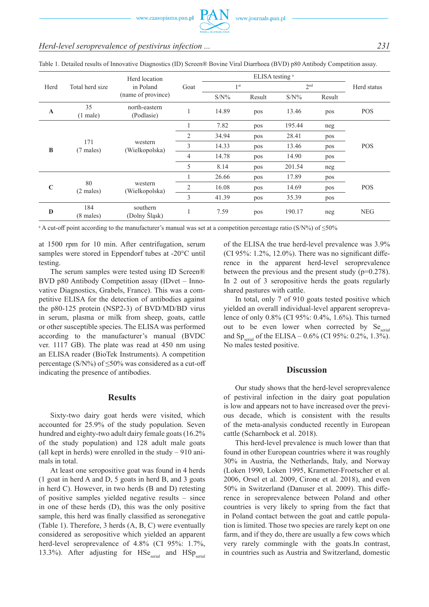### *Herd-level seroprevalence of pestivirus infection ... 231*

| Herd        | Total herd size            | Herd location<br>in Poland<br>(name of province) | Goat           | ELISA testing <sup>a</sup> |        |                 |        |             |
|-------------|----------------------------|--------------------------------------------------|----------------|----------------------------|--------|-----------------|--------|-------------|
|             |                            |                                                  |                | 1 <sup>st</sup>            |        | 2 <sup>nd</sup> |        | Herd status |
|             |                            |                                                  |                | $S/N\%$                    | Result | $S/N\%$         | Result |             |
| $\mathbf A$ | 35<br>$(1$ male)           | north-eastern<br>(Podlasie)                      |                | 14.89                      | pos    | 13.46           | pos    | <b>POS</b>  |
| B           | 171<br>$(7$ males)         | western<br>(Wielkopolska)                        |                | 7.82                       | pos    | 195.44          | neg    | POS         |
|             |                            |                                                  | 2              | 34.94                      | pos    | 28.41           | pos    |             |
|             |                            |                                                  | 3              | 14.33                      | pos    | 13.46           | pos    |             |
|             |                            |                                                  | 4              | 14.78                      | pos    | 14.90           | pos    |             |
|             |                            |                                                  | 5              | 8.14                       | pos    | 201.54          | neg    |             |
| $\mathbf C$ | 80<br>$(2$ males)          | western<br>(Wielkopolska)                        |                | 26.66                      | pos    | 17.89           | pos    | <b>POS</b>  |
|             |                            |                                                  | $\overline{2}$ | 16.08                      | pos    | 14.69           | pos    |             |
|             |                            |                                                  | 3              | 41.39                      | pos    | 35.39           | pos    |             |
| D           | 184<br>$(8 \text{ males})$ | southern<br>(Dolny Śląsk)                        |                | 7.59                       | pos    | 190.17          | neg    | <b>NEG</b>  |

Table 1. Detailed results of Innovative Diagnostics (ID) Screen® Bovine Viral Diarrhoea (BVD) p80 Antibody Competition assay.

a A cut-off point according to the manufacturer's manual was set at a competition percentage ratio (S/N%) of ≤50%

at 1500 rpm for 10 min. After centrifugation, serum samples were stored in Eppendorf tubes at -20°C until testing.

The serum samples were tested using ID Screen® BVD p80 Antibody Competition assay (IDvet – Innovative Diagnostics, Grabels, France). This was a competitive ELISA for the detection of antibodies against the p80-125 protein (NSP2-3) of BVD/MD/BD virus in serum, plasma or milk from sheep, goats, cattle or other susceptible species. The ELISA was performed according to the manufacturer's manual (BVDC ver. 1117 GB). The plate was read at 450 nm using an ELISA reader (BioTek Instruments). A competition percentage (S/N%) of  $\leq$ 50% was considered as a cut-off indicating the presence of antibodies.

#### **Results**

Sixty-two dairy goat herds were visited, which accounted for 25.9% of the study population. Seven hundred and eighty-two adult dairy female goats (16.2% of the study population) and 128 adult male goats (all kept in herds) were enrolled in the study  $-910$  animals in total.

At least one seropositive goat was found in 4 herds (1 goat in herd A and D, 5 goats in herd B, and 3 goats in herd C). However, in two herds (B and D) retesting of positive samples yielded negative results – since in one of these herds (D), this was the only positive sample, this herd was finally classified as seronegative (Table 1). Therefore, 3 herds (A, B, C) were eventually considered as seropositive which yielded an apparent herd-level seroprevalence of 4.8% (CI 95%: 1.7%, 13.3%). After adjusting for  $HSe<sub>serial</sub>$  and  $HSp<sub>serial</sub>$  of the ELISA the true herd-level prevalence was 3.9% (CI 95%:  $1.2\%$ ,  $12.0\%$ ). There was no significant difference in the apparent herd-level seroprevalence between the previous and the present study (p=0.278). In 2 out of 3 seropositive herds the goats regularly shared pastures with cattle.

In total, only 7 of 910 goats tested positive which yielded an overall individual-level apparent seroprevalence of only 0.8% (CI 95%: 0.4%, 1.6%). This turned out to be even lower when corrected by Se<sub>serial</sub> and Sp<sub>serial</sub> of the ELISA –  $0.6\%$  (CI 95%: 0.2%, 1.3%). No males tested positive.

#### **Discussion**

Our study shows that the herd-level seroprevalence of pestiviral infection in the dairy goat population is low and appears not to have increased over the previous decade, which is consistent with the results of the meta-analysis conducted recently in European cattle (Scharnbock et al. 2018).

This herd-level prevalence is much lower than that found in other European countries where it was roughly 30% in Austria, the Netherlands, Italy, and Norway (Loken 1990, Loken 1995, Krametter-Froetscher et al. 2006, Orsel et al. 2009, Cirone et al. 2018), and even 50% in Switzerland (Danuser et al. 2009). This difference in seroprevalence between Poland and other countries is very likely to spring from the fact that in Poland contact between the goat and cattle population is limited. Those two species are rarely kept on one farm, and if they do, there are usually a few cows which very rarely commingle with the goats.In contrast, in countries such as Austria and Switzerland, domestic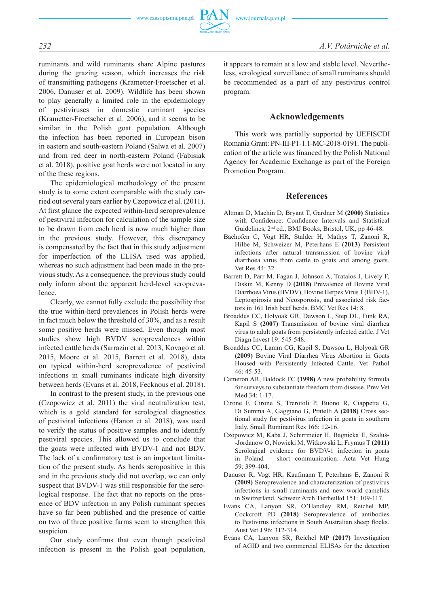www.czasopisma.pan.pl



ruminants and wild ruminants share Alpine pastures during the grazing season, which increases the risk of transmitting pathogens (Krametter-Froetscher et al. 2006, Danuser et al. 2009). Wildlife has been shown to play generally a limited role in the epidemiology of pestiviruses in domestic ruminant species (Krametter-Froetscher et al. 2006), and it seems to be similar in the Polish goat population. Although the infection has been reported in European bison in eastern and south-eastern Poland (Salwa et al. 2007) and from red deer in north-eastern Poland (Fabisiak et al. 2018), positive goat herds were not located in any of the these regions.

The epidemiological methodology of the present study is to some extent comparable with the study carried out several years earlier by Czopowicz et al. (2011). At first glance the expected within-herd seroprevalence of pestiviral infection for calculation of the sample size to be drawn from each herd is now much higher than in the previous study. However, this discrepancy is compensated by the fact that in this study adjustment for imperfection of the ELISA used was applied, whereas no such adjustment had been made in the previous study. As a consequence, the previous study could only inform about the apparent herd-level seroprevalence.

Clearly, we cannot fully exclude the possibility that the true within-herd prevalences in Polish herds were in fact much below the threshold of 30%, and as a result some positive herds were missed. Even though most studies show high BVDV seroprevalences within infected cattle herds (Sarrazin et al. 2013, Kovago et al. 2015, Moore et al. 2015, Barrett et al. 2018), data on typical within-herd seroprevalence of pestiviral infections in small ruminants indicate high diversity between herds (Evans et al. 2018, Fecknous et al. 2018).

In contrast to the present study, in the previous one (Czopowicz et al. 2011) the viral neutralization test, which is a gold standard for serological diagnostics of pestiviral infections (Hanon et al. 2018), was used to verify the status of positive samples and to identify pestiviral species. This allowed us to conclude that the goats were infected with BVDV-1 and not BDV. The lack of a confirmatory test is an important limitation of the present study. As herds seropositive in this and in the previous study did not overlap, we can only suspect that BVDV-1 was still responsible for the serological response. The fact that no reports on the presence of BDV infection in any Polish ruminant species have so far been published and the presence of cattle on two of three positive farms seem to strengthen this suspicion.

Our study confirms that even though pestiviral infection is present in the Polish goat population, it appears to remain at a low and stable level. Nevertheless, serological surveillance of small ruminants should be recommended as a part of any pestivirus control program.

#### **Acknowledgements**

This work was partially supported by UEFISCDI Romania Grant: PN-III-P1-1.1-MC-2018-0191. The publication of the article was financed by the Polish National Agency for Academic Exchange as part of the Foreign Promotion Program.

#### **References**

- Altman D, Machin D, Bryant T, Gardner M **(2000)** Statistics with Confidence: Confidence Intervals and Statistical Guidelines, 2nd ed., BMJ Books, Bristol, UK, pp 46-48.
- Bachofen C, Vogt HR, Stalder H, Mathys T, Zanoni R, Hilbe M, Schweizer M, Peterhans E **(2013**) Persistent infections after natural transmission of bovine viral diarrhoea virus from cattle to goats and among goats. Vet Res 44: 32
- Barrett D, Parr M, Fagan J, Johnson A, Tratalos J, Lively F, Diskin M, Kenny D **(2018)** Prevalence of Bovine Viral Diarrhoea Virus (BVDV), Bovine Herpes Virus 1 (BHV-1), Leptospirosis and Neosporosis, and associated risk factors in 161 Irish beef herds. BMC Vet Res 14: 8.
- Broaddus CC, Holyoak GR, Dawson L, Step DL, Funk RA, Kapil S **(2007)** Transmission of bovine viral diarrhea virus to adult goats from persistently infected cattle. J Vet Diagn Invest 19: 545-548.
- Broaddus CC, Lamm CG, Kapil S, Dawson L, Holyoak GR **(2009)** Bovine Viral Diarrhea Virus Abortion in Goats Housed with Persistently Infected Cattle. Vet Pathol 46: 45-53.
- Cameron AR, Baldock FC **(1998)** A new probability formula for surveys to substantiate freedom from disease. Prev Vet Med 34: 1-17.
- Cirone F, Cirone S, Trerotoli P, Buono R, Ciappetta G, Di Summa A, Gaggiano G, Pratelli A **(2018)** Cross sectional study for pestivirus infection in goats in southern Italy. Small Ruminant Res 166: 12-16.
- Czopowicz M, Kaba J, Schirrmeier H, Bagnicka E, Szaluś- -Jordanow O, Nowicki M, Witkowski L, Frymus T **(2011)** Serological evidence for BVDV-1 infection in goats in Poland – short communication. Acta Vet Hung 59: 399-404.
- Danuser R, Vogt HR, Kaufmann T, Peterhans E, Zanoni R **(2009)** Seroprevalence and characterization of pestivirus infections in small ruminants and new world camelids in Switzerland. Schweiz Arch Tierheilkd 151: 109-117.
- Evans CA, Lanyon SR, O'Handley RM, Reichel MP, Cockcroft PD **(2018)** Seroprevalence of antibodies to Pestivirus infections in South Australian sheep flocks. Aust Vet J 96: 312-314.
- Evans CA, Lanyon SR, Reichel MP **(2017)** Investigation of AGID and two commercial ELISAs for the detection